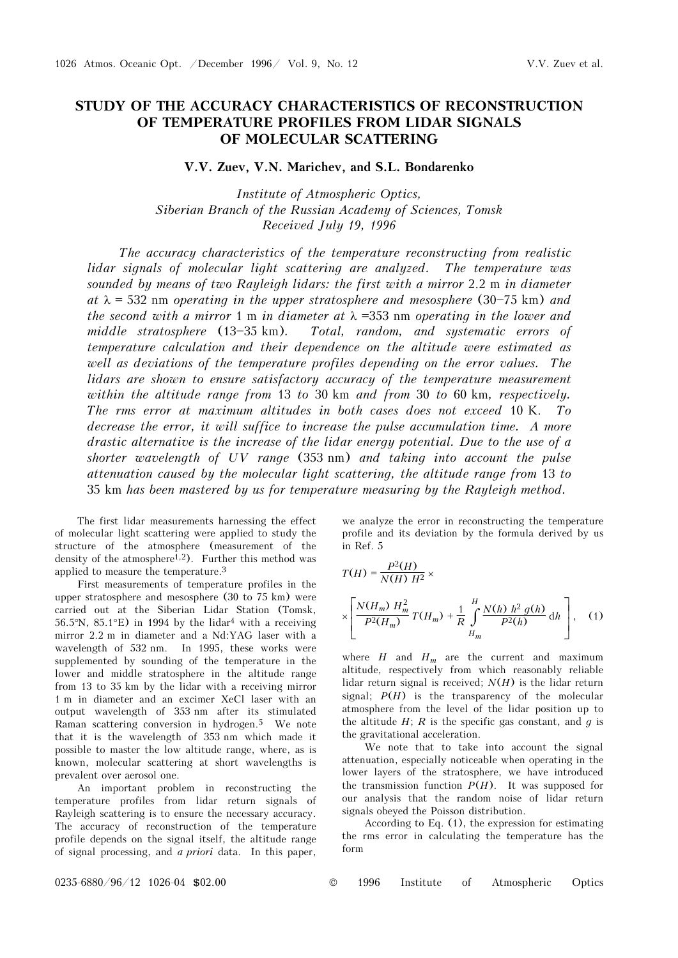## **STUDY OF THE ACCURACY CHARACTERISTICS OF RECONSTRUCTION OF TEMPERATURE PROFILES FROM LIDAR SIGNALS OF MOLECULAR SCATTERING**

## **V.V. Zuev, V.N. Marichev, and S.L. Bondarenko**

*Institute of Atmospheric Optics, Siberian Branch of the Russian Academy of Sciences, Tomsk Received July 19, 1996* 

*The accuracy characteristics of the temperature reconstructing from realistic lidar signals of molecular light scattering are analyzed. The temperature was sounded by means of two Rayleigh lidars: the first with a mirror* 2.2 m *in diameter*   $at \lambda = 532$  nm *operating in the upper stratosphere and mesosphere* (30–75 km) and *the second with a mirror* 1 m *in diameter at* λ =353 nm *operating in the lower and*  middle stratosphere (13-35 km). Total, random, and systematic errors of *temperature calculation and their dependence on the altitude were estimated as well as deviations of the temperature profiles depending on the error values. The lidars are shown to ensure satisfactory accuracy of the temperature measurement within the altitude range from* 13 *to* 30 km *and from* 30 *to* 60 km*, respectively. The rms error at maximum altitudes in both cases does not exceed* 10 K. *To decrease the error, it will suffice to increase the pulse accumulation time. A more drastic alternative is the increase of the lidar energy potential. Due to the use of a shorter wavelength of UV range* (353 nm) *and taking into account the pulse attenuation caused by the molecular light scattering, the altitude range from* 13 *to* 35 km *has been mastered by us for temperature measuring by the Rayleigh method.* 

The first lidar measurements harnessing the effect of molecular light scattering were applied to study the structure of the atmosphere (measurement of the density of the atmosphere<sup>1,2</sup>). Further this method was applied to measure the temperature.3

First measurements of temperature profiles in the upper stratosphere and mesosphere (30 to 75 km) were carried out at the Siberian Lidar Station (Tomsk, 56.5°N, 85.1°E) in 1994 by the lidar<sup>4</sup> with a receiving mirror 2.2 m in diameter and a Nd:YAG laser with a wavelength of 532 nm. In 1995, these works were supplemented by sounding of the temperature in the lower and middle stratosphere in the altitude range from 13 to 35 km by the lidar with a receiving mirror 1 m in diameter and an excimer XeCl laser with an output wavelength of 353 nm after its stimulated Raman scattering conversion in hydrogen.5 We note that it is the wavelength of 353 nm which made it possible to master the low altitude range, where, as is known, molecular scattering at short wavelengths is prevalent over aerosol one.

An important problem in reconstructing the temperature profiles from lidar return signals of Rayleigh scattering is to ensure the necessary accuracy. The accuracy of reconstruction of the temperature profile depends on the signal itself, the altitude range of signal processing, and *a priori* data. In this paper,

we analyze the error in reconstructing the temperature profile and its deviation by the formula derived by us in Ref. 5

$$
T(H) = \frac{P^{2}(H)}{N(H) H^{2}} \times
$$
  
 
$$
\times \left[ \frac{N(H_{m}) H_{m}^{2}}{P^{2}(H_{m})} T(H_{m}) + \frac{1}{R} \int_{H_{m}}^{H} \frac{N(h) h^{2} g(h)}{P^{2}(h)} dh \right], (1)
$$

where  $H$  and  $H_m$  are the current and maximum altitude, respectively from which reasonably reliable lidar return signal is received; *N*(*H*) is the lidar return signal;  $P(H)$  is the transparency of the molecular atmosphere from the level of the lidar position up to the altitude  $H$ ;  $R$  is the specific gas constant, and  $q$  is the gravitational acceleration.

We note that to take into account the signal attenuation, especially noticeable when operating in the lower layers of the stratosphere, we have introduced the transmission function  $P(H)$ . It was supposed for our analysis that the random noise of lidar return signals obeyed the Poisson distribution.

According to Eq. (1), the expression for estimating the rms error in calculating the temperature has the form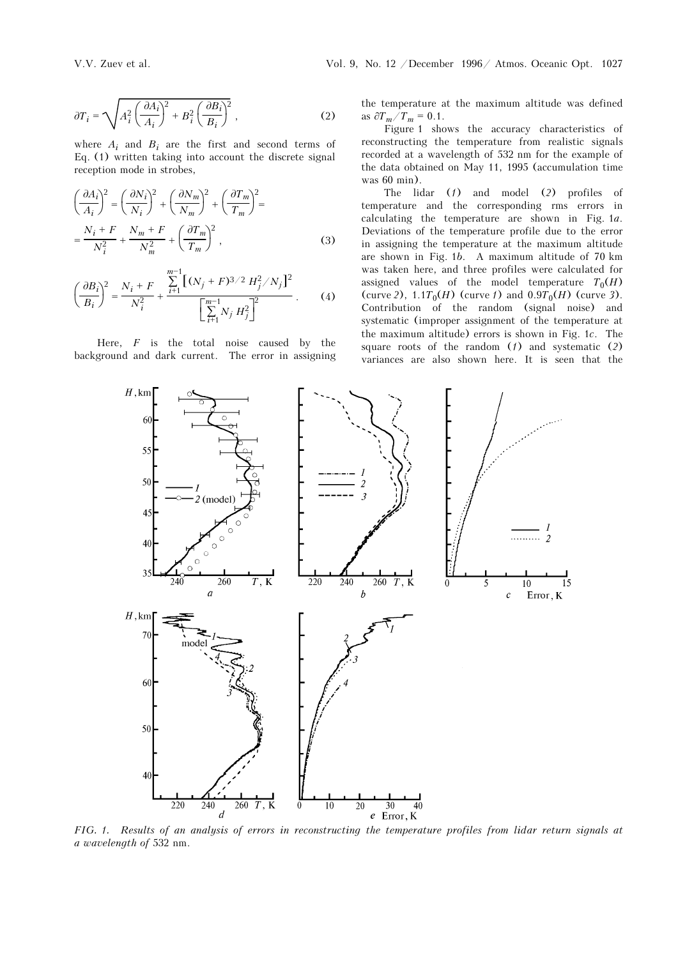$$
\partial T_i = \sqrt{A_i^2 \left(\frac{\partial A_i}{A_i}\right)^2 + B_i^2 \left(\frac{\partial B_i}{B_i}\right)^2} \,,\tag{2}
$$

where  $A_i$  and  $B_i$  are the first and second terms of Eq. (1) written taking into account the discrete signal reception mode in strobes,

$$
\left(\frac{\partial A_i}{A_i}\right)^2 = \left(\frac{\partial N_i}{N_i}\right)^2 + \left(\frac{\partial N_m}{N_m}\right)^2 + \left(\frac{\partial T_m}{T_m}\right)^2 =
$$
  

$$
= \frac{N_i + F}{N_i^2} + \frac{N_m + F}{N_m^2} + \left(\frac{\partial T_m}{T_m}\right)^2,
$$
 (3)

$$
\left(\frac{\partial B_i}{B_i}\right)^2 = \frac{N_i + F}{N_i^2} + \frac{\sum_{i=1}^{m-1} \left[ (N_j + F)^{3/2} H_j^2 / N_j \right]^2}{\left[ \sum_{i=1}^{m-1} N_j H_j^2 \right]^2} \,. \tag{4}
$$

Here, *F* is the total noise caused by the background and dark current. The error in assigning the temperature at the maximum altitude was defined as  $\partial T_m / T_m = 0.1$ .

Figure 1 shows the accuracy characteristics of reconstructing the temperature from realistic signals recorded at a wavelength of 532 nm for the example of the data obtained on May 11, 1995 (accumulation time was 60 min).

The lidar (*1*) and model (*2*) profiles of temperature and the corresponding rms errors in calculating the temperature are shown in Fig. 1*a*. Deviations of the temperature profile due to the error in assigning the temperature at the maximum altitude are shown in Fig. 1*b*. A maximum altitude of 70 km was taken here, and three profiles were calculated for assigned values of the model temperature  $T_0(H)$ (curve 2),  $1.1T_0(H)$  (curve *f*) and  $0.9T_0(H)$  (curve 3). Contribution of the random (signal noise) and systematic (improper assignment of the temperature at the maximum altitude) errors is shown in Fig. 1*c*. The square roots of the random (*1*) and systematic (*2*) variances are also shown here. It is seen that the



*FIG. 1. Results of an analysis of errors in reconstructing the temperature profiles from lidar return signals at a wavelength of* 532 nm.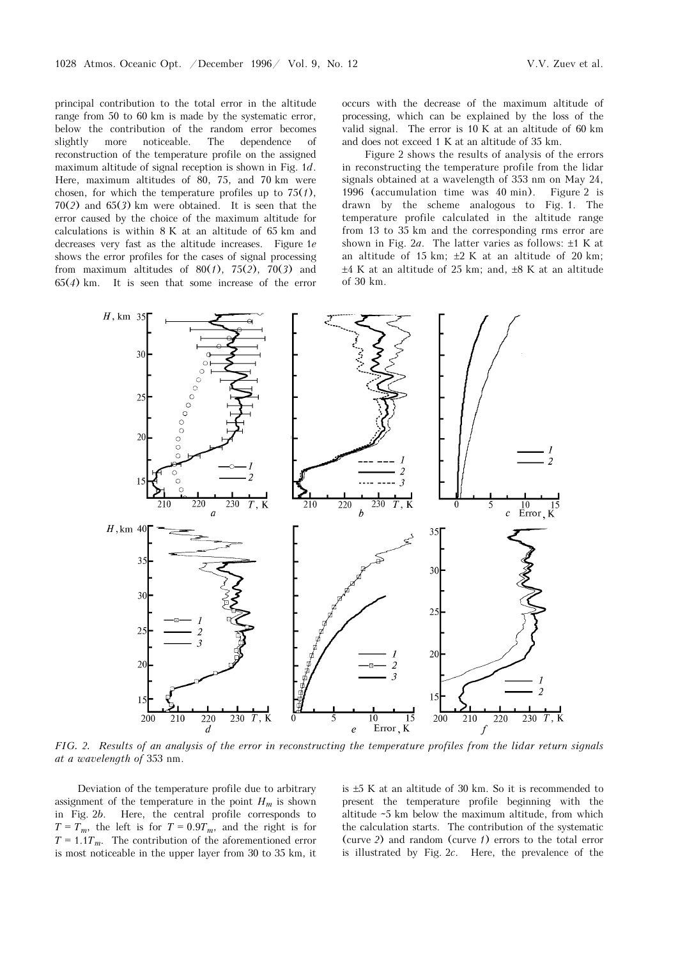principal contribution to the total error in the altitude range from 50 to 60 km is made by the systematic error, below the contribution of the random error becomes slightly more noticeable. The dependence of reconstruction of the temperature profile on the assigned maximum altitude of signal reception is shown in Fig. 1*d*. Here, maximum altitudes of 80, 75, and 70 km were chosen, for which the temperature profiles up to 75(*1*), 70(*2*) and 65(*3*) km were obtained. It is seen that the error caused by the choice of the maximum altitude for calculations is within 8 K at an altitude of 65 km and decreases very fast as the altitude increases. Figure 1*e* shows the error profiles for the cases of signal processing from maximum altitudes of 80(*1*), 75(*2*), 70(*3*) and 65(*4*) km. It is seen that some increase of the error occurs with the decrease of the maximum altitude of processing, which can be explained by the loss of the valid signal. The error is 10 K at an altitude of 60 km and does not exceed 1 K at an altitude of 35 km.

Figure 2 shows the results of analysis of the errors in reconstructing the temperature profile from the lidar signals obtained at a wavelength of 353 nm on May 24, 1996 (accumulation time was 40 min). Figure 2 is drawn by the scheme analogous to Fig. 1. The temperature profile calculated in the altitude range from 13 to 35 km and the corresponding rms error are shown in Fig. 2*a*. The latter varies as follows: ±1 K at an altitude of 15 km;  $\pm 2$  K at an altitude of 20 km;  $\pm 4$  K at an altitude of 25 km; and,  $\pm 8$  K at an altitude of 30 km.



*FIG. 2. Results of an analysis of the error in reconstructing the temperature profiles from the lidar return signals at a wavelength of* 353 nm.

Deviation of the temperature profile due to arbitrary assignment of the temperature in the point  $H_m$  is shown in Fig. 2*b*. Here, the central profile corresponds to  $T = T_m$ , the left is for  $T = 0.9T_m$ , and the right is for  $T = 1.1 T_m$ . The contribution of the aforementioned error is most noticeable in the upper layer from 30 to 35 km, it is ±5 K at an altitude of 30 km. So it is recommended to present the temperature profile beginning with the altitude ~5 km below the maximum altitude, from which the calculation starts. The contribution of the systematic (curve *2*) and random (curve *1*) errors to the total error is illustrated by Fig. 2*c*. Here, the prevalence of the